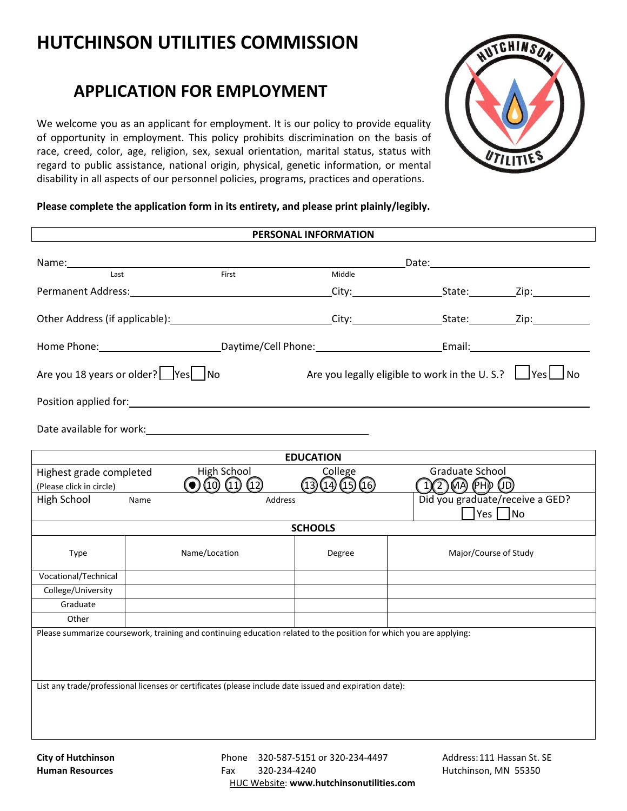## **HUTCHINSON UTILITIES COMMISSION**

## **APPLICATION FOR EMPLOYMENT**

We welcome you as an applicant for employment. It is our policy to provide equality of opportunity in employment. This policy prohibits discrimination on the basis of race, creed, color, age, religion, sex, sexual orientation, marital status, status with regard to public assistance, national origin, physical, genetic information, or mental disability in all aspects of our personnel policies, programs, practices and operations.



## **Please complete the application form in its entirety, and please print plainly/legibly.**

| PERSONAL INFORMATION                                                                                                                                                                                                           |                  |               |                                                                        |                       |  |  |  |
|--------------------------------------------------------------------------------------------------------------------------------------------------------------------------------------------------------------------------------|------------------|---------------|------------------------------------------------------------------------|-----------------------|--|--|--|
|                                                                                                                                                                                                                                |                  |               |                                                                        |                       |  |  |  |
| Name: 1988<br>First<br>Last                                                                                                                                                                                                    |                  |               | <b>Example 20 Date:</b> Date:<br>Middle                                |                       |  |  |  |
|                                                                                                                                                                                                                                |                  |               |                                                                        |                       |  |  |  |
|                                                                                                                                                                                                                                |                  |               |                                                                        |                       |  |  |  |
| Other Address (if applicable): City: City: State: Zip: Zip:                                                                                                                                                                    |                  |               |                                                                        |                       |  |  |  |
|                                                                                                                                                                                                                                |                  |               |                                                                        |                       |  |  |  |
| Are you 18 years or older?   Yes   No                                                                                                                                                                                          |                  |               | Are you legally eligible to work in the U.S.? $\Box$ Yes $\Box$ No     |                       |  |  |  |
|                                                                                                                                                                                                                                |                  |               |                                                                        |                       |  |  |  |
| Date available for work: Note and the set of the set of the set of the set of the set of the set of the set of the set of the set of the set of the set of the set of the set of the set of the set of the set of the set of t |                  |               |                                                                        |                       |  |  |  |
|                                                                                                                                                                                                                                | <b>EDUCATION</b> |               |                                                                        |                       |  |  |  |
| High School<br>Highest grade completed<br>$\odot$ (10) (11) (12)<br>(Please click in circle)                                                                                                                                   |                  |               | College<br>Graduate School<br>12 MA PHD (D)<br>(14)(15)(16)<br>(13)    |                       |  |  |  |
| High School                                                                                                                                                                                                                    | Name             |               | Did you graduate/receive a GED?<br>Address<br>$\sqrt{Y}$ es $\sqrt{N}$ |                       |  |  |  |
|                                                                                                                                                                                                                                |                  |               | <b>SCHOOLS</b>                                                         |                       |  |  |  |
| Type                                                                                                                                                                                                                           |                  | Name/Location | Degree                                                                 | Major/Course of Study |  |  |  |
| Vocational/Technical                                                                                                                                                                                                           |                  |               |                                                                        |                       |  |  |  |
| College/University                                                                                                                                                                                                             |                  |               |                                                                        |                       |  |  |  |
| Graduate                                                                                                                                                                                                                       |                  |               |                                                                        |                       |  |  |  |
| Other                                                                                                                                                                                                                          |                  |               |                                                                        |                       |  |  |  |
| Please summarize coursework, training and continuing education related to the position for which you are applying:                                                                                                             |                  |               |                                                                        |                       |  |  |  |
|                                                                                                                                                                                                                                |                  |               |                                                                        |                       |  |  |  |
| List any trade/professional licenses or certificates (please include date issued and expiration date):                                                                                                                         |                  |               |                                                                        |                       |  |  |  |
|                                                                                                                                                                                                                                |                  |               |                                                                        |                       |  |  |  |
|                                                                                                                                                                                                                                |                  |               |                                                                        |                       |  |  |  |

**Hutchinson Utilities Commission Human Resources** 

Phone 320-234-0501 Fax 320-234-4721 HUC Website: **www.hutchinsonutilities.com** Address: 225 Michigan St Hutchinson, MN 55350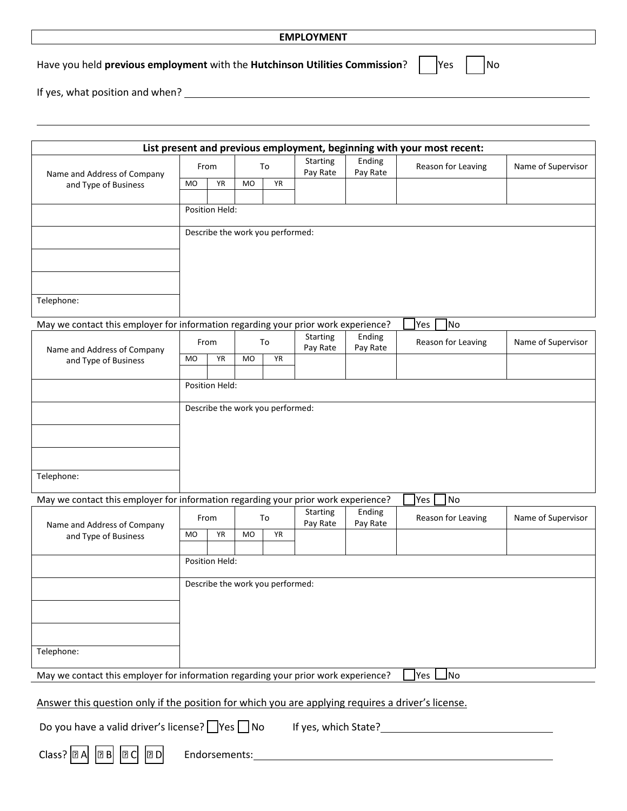|                       |               | $\Box$<br>$\mathbf{L}$          |
|-----------------------|---------------|---------------------------------|
|                       |               |                                 |
|                       |               | $\hfill\square$ $\hfill\square$ |
|                       |               | $\Box$ $\Box$                   |
| $\Box \Box \Box \Box$ | $\Box$ $\Box$ | $\Box$ $\Box$                   |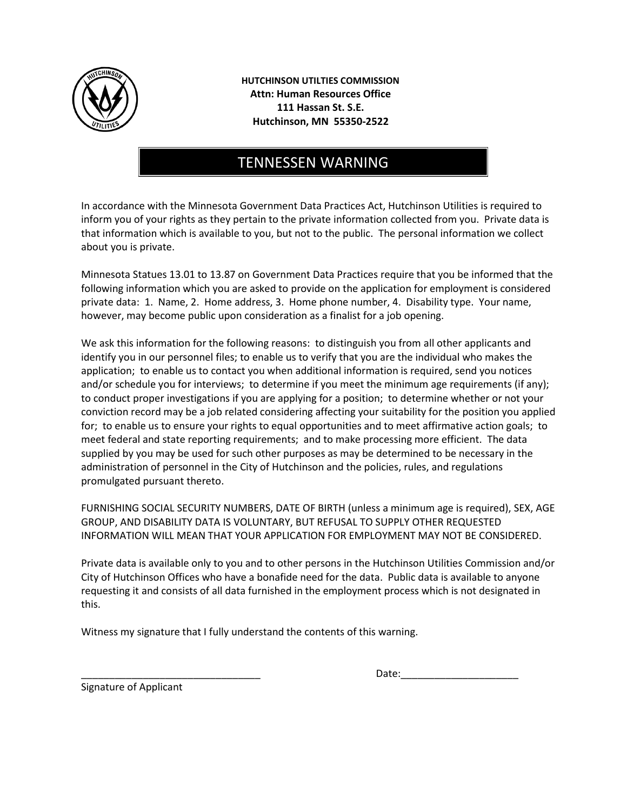

**HUTCHINSON UTILTIES COMMISSION Attn: Human Resources Office 111 Hassan St. S.E. Hutchinson, MN 55350-2522** 

## TENNESSEN WARNING

In accordance with the Minnesota Government Data Practices Act, Hutchinson Utilities is required to inform you of your rights as they pertain to the private information collected from you. Private data is that information which is available to you, but not to the public. The personal information we collect about you is private.

Minnesota Statues 13.01 to 13.87 on Government Data Practices require that you be informed that the following information which you are asked to provide on the application for employment is considered private data: 1. Name, 2. Home address, 3. Home phone number, 4. Disability type. Your name, however, may become public upon consideration as a finalist for a job opening.

We ask this information for the following reasons: to distinguish you from all other applicants and identify you in our personnel files; to enable us to verify that you are the individual who makes the application; to enable us to contact you when additional information is required, send you notices and/or schedule you for interviews; to determine if you meet the minimum age requirements (if any); to conduct proper investigations if you are applying for a position; to determine whether or not your conviction record may be a job related considering affecting your suitability for the position you applied for; to enable us to ensure your rights to equal opportunities and to meet affirmative action goals; to meet federal and state reporting requirements; and to make processing more efficient. The data supplied by you may be used for such other purposes as may be determined to be necessary in the administration of personnel in the City of Hutchinson and the policies, rules, and regulations promulgated pursuant thereto.

FURNISHING SOCIAL SECURITY NUMBERS, DATE OF BIRTH (unless a minimum age is required), SEX, AGE GROUP, AND DISABILITY DATA IS VOLUNTARY, BUT REFUSAL TO SUPPLY OTHER REQUESTED INFORMATION WILL MEAN THAT YOUR APPLICATION FOR EMPLOYMENT MAY NOT BE CONSIDERED.

Private data is available only to you and to other persons in the Hutchinson Utilities Commission and/or City of Hutchinson Offices who have a bonafide need for the data. Public data is available to anyone requesting it and consists of all data furnished in the employment process which is not designated in this.

Witness my signature that I fully understand the contents of this warning.

Date:

Signature of Applicant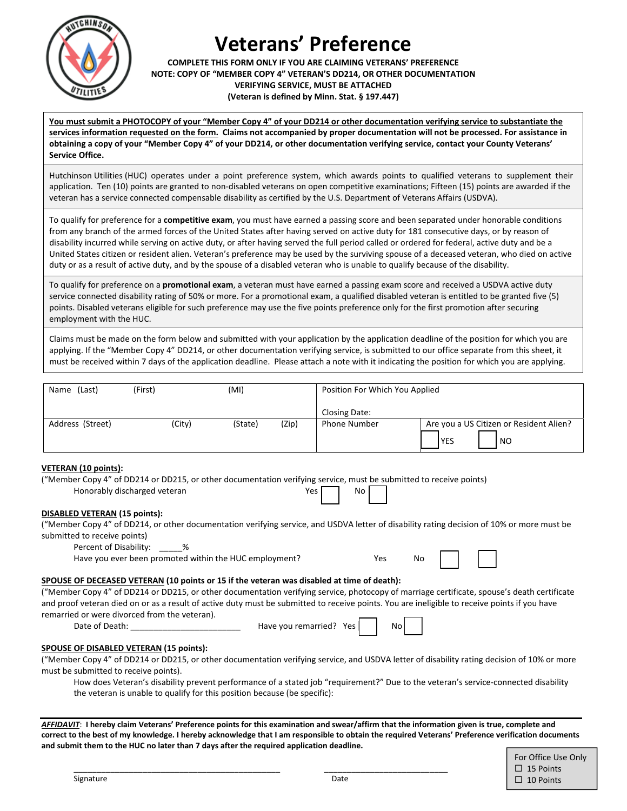